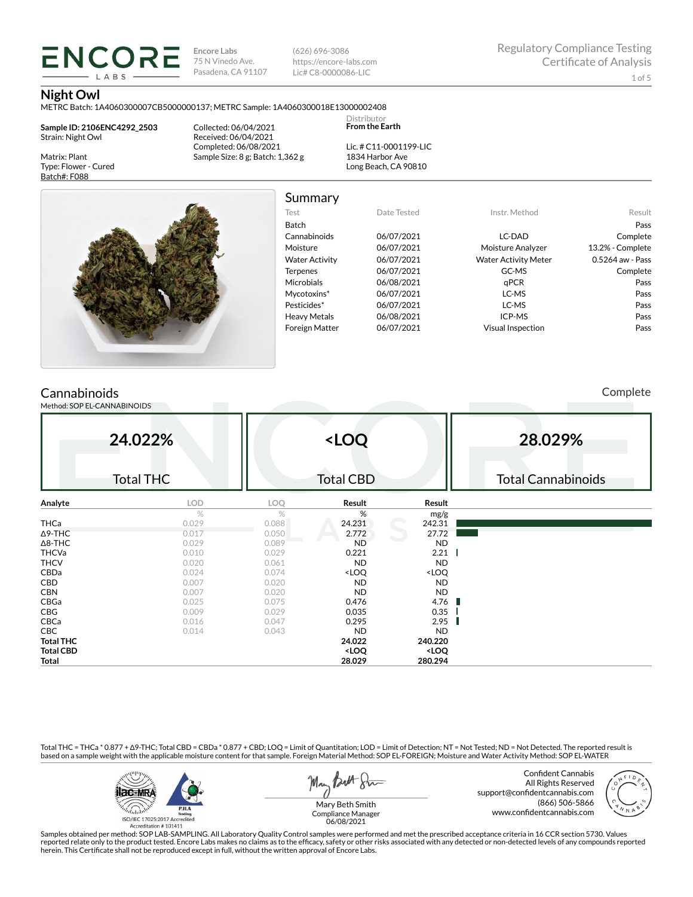**ENCORE Encore Labs** 75 N Vinedo Ave. Pasadena, CA 91107 (626) 696-3086 https://encore-labs.com Lic# C8-0000086-LIC

#### **Night Owl**

Matrix: Plant Type: Flower - Cured Batch#: F088

METRC Batch: 1A4060300007CB5000000137; METRC Sample: 1A4060300018E13000002408

Collected: 06/04/2021

**Sample ID: 2106ENC4292\_2503** Strain: Night Owl

LABS

Received: 06/04/2021 Completed: 06/08/2021 Sample Size: 8 g; Batch: 1,362 g

Summary

Distributor **From the Earth**

Lic. # C11-0001199-LIC 1834 Harbor Ave Long Beach, CA 90810



| Test                  | Date Tested | Instr. Method               | Result           |
|-----------------------|-------------|-----------------------------|------------------|
| Batch                 |             |                             | Pass             |
| Cannabinoids          | 06/07/2021  | LC-DAD                      | Complete         |
| Moisture              | 06/07/2021  | Moisture Analyzer           | 13.2% - Complete |
| <b>Water Activity</b> | 06/07/2021  | <b>Water Activity Meter</b> | 0.5264 aw - Pass |
| <b>Terpenes</b>       | 06/07/2021  | GC-MS                       | Complete         |
| Microbials            | 06/08/2021  | aPCR                        | Pass             |
| Mycotoxins*           | 06/07/2021  | LC-MS                       | Pass             |
| Pesticides*           | 06/07/2021  | LC-MS                       | Pass             |
| Heavy Metals          | 06/08/2021  | ICP-MS                      | Pass             |
| <b>Foreign Matter</b> | 06/07/2021  | <b>Visual Inspection</b>    | Pass             |
|                       |             |                             |                  |

# **Cannabinoids**

Method: SOP EL-CANNABINOIDS

Complete

| 24.022%          |                  |       | <loq< th=""><th></th><th colspan="3">28.029%</th></loq<> |                              | 28.029%                   |  |  |
|------------------|------------------|-------|----------------------------------------------------------|------------------------------|---------------------------|--|--|
|                  | <b>Total THC</b> |       | <b>Total CBD</b>                                         |                              | <b>Total Cannabinoids</b> |  |  |
| Analyte          | LOD              | LOQ   | Result                                                   | Result                       |                           |  |  |
|                  | $\%$             | %     | %                                                        | mg/g                         |                           |  |  |
| <b>THCa</b>      | 0.029            | 0.088 | 24.231                                                   | 242.31                       |                           |  |  |
| $\Delta$ 9-THC   | 0.017            | 0.050 | 2.772                                                    | 27.72                        |                           |  |  |
| $\Delta$ 8-THC   | 0.029            | 0.089 | <b>ND</b>                                                | <b>ND</b>                    |                           |  |  |
| <b>THCVa</b>     | 0.010            | 0.029 | 0.221                                                    | 2.21                         |                           |  |  |
| <b>THCV</b>      | 0.020            | 0.061 | <b>ND</b>                                                | <b>ND</b>                    |                           |  |  |
| CBDa             | 0.024            | 0.074 | <loq< td=""><td><loq< td=""><td></td></loq<></td></loq<> | <loq< td=""><td></td></loq<> |                           |  |  |
| <b>CBD</b>       | 0.007            | 0.020 | <b>ND</b>                                                | <b>ND</b>                    |                           |  |  |
| <b>CBN</b>       | 0.007            | 0.020 | <b>ND</b>                                                | <b>ND</b>                    |                           |  |  |
| CBGa             | 0.025            | 0.075 | 0.476                                                    | 4.76<br>H.                   |                           |  |  |
| CBG              | 0.009            | 0.029 | 0.035                                                    | 0.35                         |                           |  |  |
| CBCa             | 0.016            | 0.047 | 0.295                                                    | 2.95                         |                           |  |  |
| CBC              | 0.014            | 0.043 | <b>ND</b>                                                | <b>ND</b>                    |                           |  |  |
| <b>Total THC</b> |                  |       | 24.022                                                   | 240.220                      |                           |  |  |
| <b>Total CBD</b> |                  |       | <loq< td=""><td><loq< td=""><td></td></loq<></td></loq<> | <loq< td=""><td></td></loq<> |                           |  |  |
| Total            |                  |       | 28.029                                                   | 280.294                      |                           |  |  |

Total THC = THCa \* 0.877 + ∆9-THC; Total CBD = CBDa \* 0.877 + CBD; LOQ = Limit of Quantitation; LOD = Limit of Detection; NT = Not Tested; ND = Not Detected. The reported result is based on a sample weight with the applicable moisture content for that sample. Foreign Material Method: SOP EL-FOREIGN; Moisture and Water Activity Method: SOP EL-WATER



May Both Stre

Confident Cannabis All Rights Reserved support@confidentcannabis.com (866) 506-5866 www.confidentcannabis.com



Mary Beth Smith Compliance Manager 06/08/2021

Samples obtained per method: SOP LAB-SAMPLING. All Laboratory Quality Control samples were performed and met the prescribed acceptance criteria in 16 CCR section 5730. Values reported relate only to the product tested. Encore Labs makes no claims as to the efficacy, safety or other risks associated with any detected or non-detected levels of any compounds reported<br>herein. This Certificate shall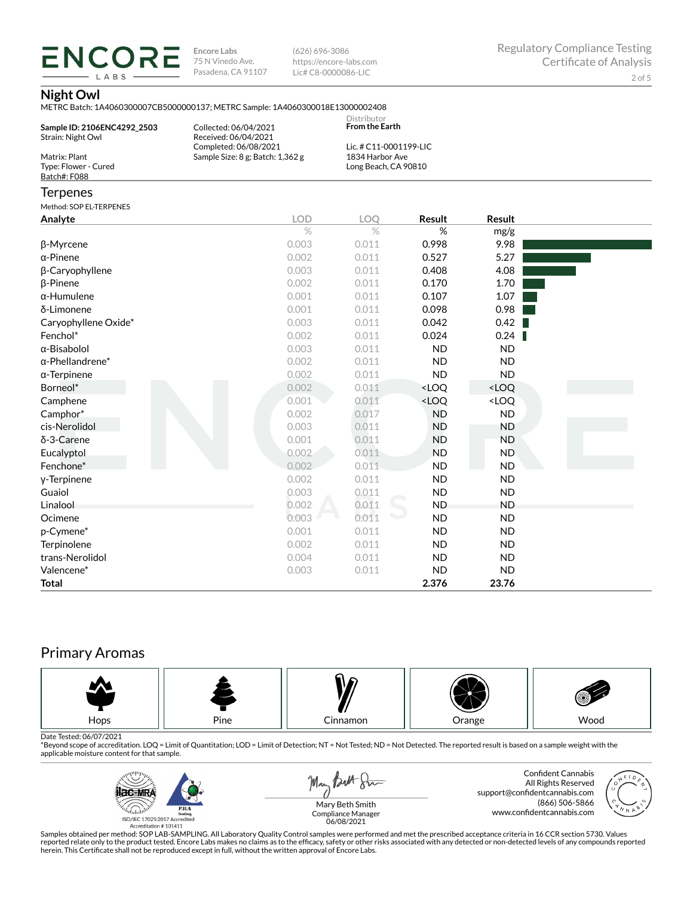**ENCORE Encore Labs** 75 N Vinedo Ave. Pasadena, CA 91107

(626) 696-3086 https://encore-labs.com Lic# C8-0000086-LIC

## **Night Owl**

LABS

METRC Batch: 1A4060300007CB5000000137; METRC Sample: 1A4060300018E13000002408

| Sample ID: 2106ENC4292_2503<br>Strain: Night Owl<br>Matrix: Plant | Collected: 06/04/2021<br>Received: 06/04/2021<br>Completed: 06/08/2021<br>Sample Size: 8 g; Batch: 1,362 g | Distributor<br><b>From the Earth</b><br>Lic. # C11-0001199-LIC<br>1834 Harbor Ave |                                                          |                              |  |
|-------------------------------------------------------------------|------------------------------------------------------------------------------------------------------------|-----------------------------------------------------------------------------------|----------------------------------------------------------|------------------------------|--|
| Type: Flower - Cured<br>Batch#: F088                              |                                                                                                            | Long Beach, CA 90810                                                              |                                                          |                              |  |
| <b>Terpenes</b>                                                   |                                                                                                            |                                                                                   |                                                          |                              |  |
| Method: SOP EL-TERPENES                                           |                                                                                                            |                                                                                   |                                                          |                              |  |
| Analyte                                                           | <b>LOD</b>                                                                                                 | <b>LOO</b>                                                                        | Result                                                   | <b>Result</b>                |  |
|                                                                   | $\%$                                                                                                       | $\%$                                                                              | %                                                        | mg/g                         |  |
| β-Myrcene                                                         | 0.003                                                                                                      | 0.011                                                                             | 0.998                                                    | 9.98                         |  |
| $\alpha$ -Pinene                                                  | 0.002                                                                                                      | 0.011                                                                             | 0.527                                                    | 5.27                         |  |
| β-Caryophyllene                                                   | 0.003                                                                                                      | 0.011                                                                             | 0.408                                                    | 4.08                         |  |
| <b>B-Pinene</b>                                                   | 0.002                                                                                                      | 0.011                                                                             | 0.170                                                    | 1.70                         |  |
| $\alpha$ -Humulene                                                | 0.001                                                                                                      | 0.011                                                                             | 0.107                                                    | 1.07                         |  |
| δ-Limonene                                                        | 0.001                                                                                                      | 0.011                                                                             | 0.098                                                    | 0.98                         |  |
| Caryophyllene Oxide*                                              | 0.003                                                                                                      | 0.011                                                                             | 0.042                                                    | 0.42                         |  |
| Fenchol*                                                          | 0.002                                                                                                      | 0.011                                                                             | 0.024                                                    | 0.24                         |  |
| $\alpha$ -Bisabolol                                               | 0.003                                                                                                      | 0.011                                                                             | <b>ND</b>                                                | <b>ND</b>                    |  |
| $\alpha$ -Phellandrene*                                           | 0.002                                                                                                      | 0.011                                                                             | <b>ND</b>                                                | <b>ND</b>                    |  |
| $\alpha$ -Terpinene                                               | 0.002                                                                                                      | 0.011                                                                             | <b>ND</b>                                                | <b>ND</b>                    |  |
| Borneol*                                                          | 0.002                                                                                                      | 0.011                                                                             | <loq< td=""><td><loq< td=""><td></td></loq<></td></loq<> | <loq< td=""><td></td></loq<> |  |
| Camphene                                                          | 0.001                                                                                                      | 0.011                                                                             | <loq< td=""><td><loq< td=""><td></td></loq<></td></loq<> | <loq< td=""><td></td></loq<> |  |
| Camphor*                                                          | 0.002                                                                                                      | 0.017                                                                             | <b>ND</b>                                                | <b>ND</b>                    |  |
| cis-Nerolidol                                                     | 0.003                                                                                                      | 0.011                                                                             | <b>ND</b>                                                | <b>ND</b>                    |  |
| δ-3-Carene                                                        | 0.001                                                                                                      | 0.011                                                                             | <b>ND</b>                                                | <b>ND</b>                    |  |
| Eucalyptol                                                        | 0.002                                                                                                      | 0.011                                                                             | <b>ND</b>                                                | <b>ND</b>                    |  |
| Fenchone*                                                         | 0.002                                                                                                      | 0.011                                                                             | <b>ND</b>                                                | <b>ND</b>                    |  |
| y-Terpinene                                                       | 0.002                                                                                                      | 0.011                                                                             | <b>ND</b>                                                | <b>ND</b>                    |  |
| Guaiol                                                            | 0.003                                                                                                      | 0.011                                                                             | <b>ND</b>                                                | <b>ND</b>                    |  |
| Linalool                                                          | 0.002                                                                                                      | 0.011                                                                             | <b>ND</b>                                                | <b>ND</b>                    |  |
| Ocimene                                                           | 0.003                                                                                                      | 0.011                                                                             | <b>ND</b>                                                | <b>ND</b>                    |  |
| p-Cymene*                                                         | 0.001                                                                                                      | 0.011                                                                             | <b>ND</b>                                                | <b>ND</b>                    |  |
| Terpinolene                                                       | 0.002                                                                                                      | 0.011                                                                             | <b>ND</b>                                                | <b>ND</b>                    |  |
| trans-Nerolidol                                                   | 0.004                                                                                                      | 0.011                                                                             | <b>ND</b>                                                | <b>ND</b>                    |  |
| Valencene*                                                        | 0.003                                                                                                      | 0.011                                                                             | <b>ND</b>                                                | <b>ND</b>                    |  |
| <b>Total</b>                                                      |                                                                                                            |                                                                                   | 2.376                                                    | 23.76                        |  |

# Primary Aromas



Date Tested: 06/07/2021<br>\*Beyond scope of accreditation. LOQ = Limit of Quantitation; LOD = Limit of Detection; NT = Not Tested; ND = Not Detected. The reported result is based on a sample weight with the applicable moisture content for that sample.



May Both Sur

Confident Cannabis All Rights Reserved support@confidentcannabis.com (866) 506-5866 www.confidentcannabis.com



Mary Beth Smith Compliance Manager 06/08/2021

Samples obtained per method: SOP LAB-SAMPLING. All Laboratory Quality Control samples were performed and met the prescribed acceptance criteria in 16 CCR section 5730. Values reported relate only to the product tested. Encore Labs makes no claims as to the efficacy, safety or other risks associated with any detected or non-detected levels of any compounds reported<br>herein. This Certificate shall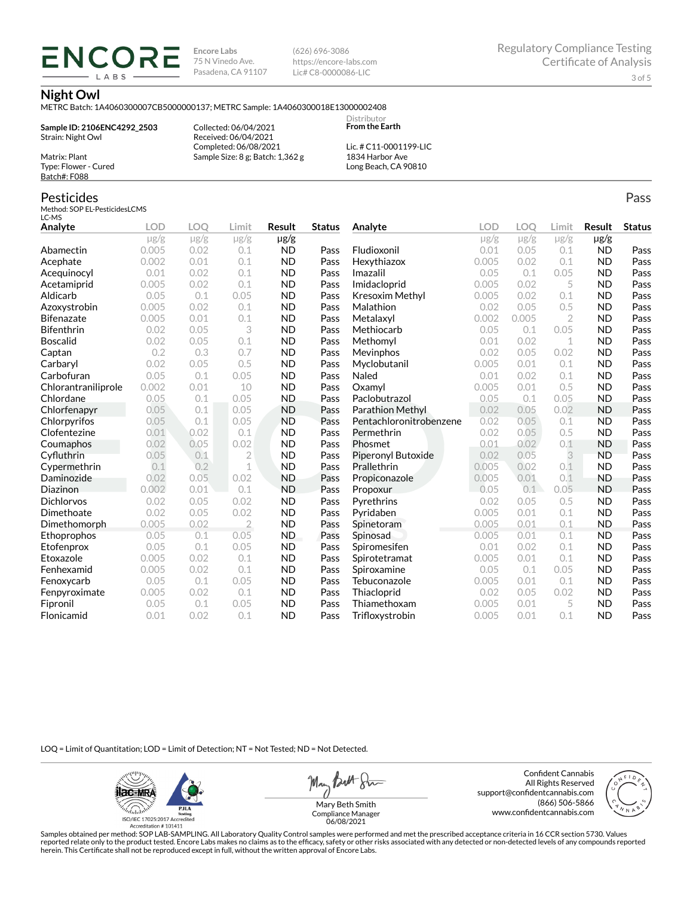**Encore Labs** 75 N Vinedo Ave. Pasadena, CA 91107 (626) 696-3086 https://encore-labs.com Lic# C8-0000086-LIC

#### **Night Owl**

METRC Batch: 1A4060300007CB5000000137; METRC Sample: 1A4060300018E13000002408

**Sample ID: 2106ENC4292\_2503** Strain: Night Owl Matrix: Plant

**ENCORI** LABS

> Collected: 06/04/2021 Received: 06/04/2021 Completed: 06/08/2021 Sample Size: 8 g; Batch: 1,362 g

Lic. # C11-0001199-LIC 1834 Harbor Ave Long Beach, CA 90810

Distributor **From the Earth**

### Pesticides

Type: Flower - Cured Batch#: F088

Method: SOP EL-PesticidesLCMS LC-MS

| Analyte             | <b>LOD</b>         | LOO               | Limit            | Result                 | <b>Status</b> |                         | <b>LOD</b>        | LOQ               | Limit            | Result                 | <b>Status</b> |
|---------------------|--------------------|-------------------|------------------|------------------------|---------------|-------------------------|-------------------|-------------------|------------------|------------------------|---------------|
|                     |                    |                   |                  |                        |               | Analyte                 |                   |                   |                  |                        |               |
| Abamectin           | $\mu$ g/g<br>0.005 | $\mu$ g/g<br>0.02 | $\mu$ g/g<br>0.1 | $\mu$ g/g<br><b>ND</b> | Pass          | Fludioxonil             | $\mu$ g/g<br>0.01 | $\mu$ g/g<br>0.05 | $\mu$ g/g<br>0.1 | $\mu$ g/g<br><b>ND</b> | Pass          |
| Acephate            | 0.002              | 0.01              | 0.1              | <b>ND</b>              | Pass          | Hexythiazox             | 0.005             | 0.02              | 0.1              | <b>ND</b>              | Pass          |
| Acequinocyl         | 0.01               | 0.02              | 0.1              | <b>ND</b>              | Pass          | Imazalil                | 0.05              | 0.1               | 0.05             | <b>ND</b>              | Pass          |
| Acetamiprid         | 0.005              | 0.02              | 0.1              | <b>ND</b>              | Pass          | Imidacloprid            | 0.005             | 0.02              | 5                | <b>ND</b>              | Pass          |
| Aldicarb            | 0.05               | 0.1               | 0.05             | <b>ND</b>              | Pass          | <b>Kresoxim Methyl</b>  | 0.005             | 0.02              | 0.1              | <b>ND</b>              | Pass          |
| Azoxystrobin        | 0.005              | 0.02              | 0.1              | <b>ND</b>              | Pass          | Malathion               | 0.02              | 0.05              | 0.5              | <b>ND</b>              | Pass          |
| <b>Bifenazate</b>   | 0.005              | 0.01              | 0.1              | <b>ND</b>              | Pass          | Metalaxyl               | 0.002             | 0.005             | $\overline{2}$   | <b>ND</b>              | Pass          |
| <b>Bifenthrin</b>   | 0.02               | 0.05              | 3                | <b>ND</b>              | Pass          | Methiocarb              | 0.05              | 0.1               | 0.05             | <b>ND</b>              | Pass          |
| <b>Boscalid</b>     | 0.02               | 0.05              | 0.1              | <b>ND</b>              | Pass          | Methomyl                | 0.01              | 0.02              | 1                | <b>ND</b>              | Pass          |
| Captan              | 0.2                | 0.3               | 0.7              | <b>ND</b>              | Pass          | Mevinphos               | 0.02              | 0.05              | 0.02             | <b>ND</b>              | Pass          |
| Carbaryl            | 0.02               | 0.05              | 0.5              | <b>ND</b>              | Pass          | Myclobutanil            | 0.005             | 0.01              | 0.1              | <b>ND</b>              | Pass          |
| Carbofuran          | 0.05               | 0.1               | 0.05             | <b>ND</b>              | Pass          | Naled                   | 0.01              | 0.02              | 0.1              | <b>ND</b>              | Pass          |
| Chlorantraniliprole | 0.002              | 0.01              | 10               | <b>ND</b>              | Pass          | Oxamyl                  | 0.005             | 0.01              | 0.5              | <b>ND</b>              | Pass          |
| Chlordane           | 0.05               | 0.1               | 0.05             | <b>ND</b>              | Pass          | Paclobutrazol           | 0.05              | 0.1               | 0.05             | <b>ND</b>              | Pass          |
| Chlorfenapyr        | 0.05               | 0.1               | 0.05             | <b>ND</b>              | Pass          | Parathion Methyl        | 0.02              | 0.05              | 0.02             | <b>ND</b>              | Pass          |
| Chlorpyrifos        | 0.05               | 0.1               | 0.05             | <b>ND</b>              | Pass          | Pentachloronitrobenzene | 0.02              | 0.05              | 0.1              | <b>ND</b>              | Pass          |
| Clofentezine        | 0.01               | 0.02              | 0.1              | <b>ND</b>              | Pass          | Permethrin              | 0.02              | 0.05              | 0.5              | <b>ND</b>              | Pass          |
| Coumaphos           | 0.02               | 0.05              | 0.02             | <b>ND</b>              | Pass          | Phosmet                 | 0.01              | 0.02              | 0.1              | <b>ND</b>              | Pass          |
| Cyfluthrin          | 0.05               | 0.1               | $\overline{2}$   | <b>ND</b>              | Pass          | Piperonyl Butoxide      | 0.02              | 0.05              | 3                | <b>ND</b>              | Pass          |
| Cypermethrin        | 0.1                | 0.2               | 1                | <b>ND</b>              | Pass          | Prallethrin             | 0.005             | 0.02              | 0.1              | <b>ND</b>              | Pass          |
| Daminozide          | 0.02               | 0.05              | 0.02             | <b>ND</b>              | Pass          | Propiconazole           | 0.005             | 0.01              | 0.1              | <b>ND</b>              | Pass          |
| Diazinon            | 0.002              | 0.01              | 0.1              | <b>ND</b>              | Pass          | Propoxur                | 0.05              | 0.1               | 0.05             | <b>ND</b>              | Pass          |
| <b>Dichlorvos</b>   | 0.02               | 0.05              | 0.02             | <b>ND</b>              | Pass          | Pyrethrins              | 0.02              | 0.05              | 0.5              | <b>ND</b>              | Pass          |
| Dimethoate          | 0.02               | 0.05              | 0.02             | <b>ND</b>              | Pass          | Pyridaben               | 0.005             | 0.01              | 0.1              | <b>ND</b>              | Pass          |
| Dimethomorph        | 0.005              | 0.02              | $\overline{2}$   | <b>ND</b>              | Pass          | Spinetoram              | 0.005             | 0.01              | 0.1              | <b>ND</b>              | Pass          |
| Ethoprophos         | 0.05               | 0.1               | 0.05             | <b>ND</b>              | Pass          | Spinosad                | 0.005             | 0.01              | 0.1              | <b>ND</b>              | Pass          |
| Etofenprox          | 0.05               | 0.1               | 0.05             | <b>ND</b>              | Pass          | Spiromesifen            | 0.01              | 0.02              | 0.1              | <b>ND</b>              | Pass          |
| Etoxazole           | 0.005              | 0.02              | 0.1              | <b>ND</b>              | Pass          | Spirotetramat           | 0.005             | 0.01              | 0.1              | <b>ND</b>              | Pass          |
| Fenhexamid          | 0.005              | 0.02              | 0.1              | <b>ND</b>              | Pass          | Spiroxamine             | 0.05              | 0.1               | 0.05             | <b>ND</b>              | Pass          |
| Fenoxycarb          | 0.05               | 0.1               | 0.05             | <b>ND</b>              | Pass          | Tebuconazole            | 0.005             | 0.01              | 0.1              | <b>ND</b>              | Pass          |
| Fenpyroximate       | 0.005              | 0.02              | 0.1              | <b>ND</b>              | Pass          | Thiacloprid             | 0.02              | 0.05              | 0.02             | <b>ND</b>              | Pass          |
| Fipronil            | 0.05               | 0.1               | 0.05             | <b>ND</b>              | Pass          | Thiamethoxam            | 0.005             | 0.01              | 5                | <b>ND</b>              | Pass          |
| Flonicamid          | 0.01               | 0.02              | 0.1              | <b>ND</b>              | Pass          | Trifloxystrobin         | 0.005             | 0.01              | 0.1              | <b>ND</b>              | Pass          |

LOQ = Limit of Quantitation; LOD = Limit of Detection; NT = Not Tested; ND = Not Detected.

**ilac-MRA PJLA**  $d_{\rm thbb}$ ISO/IEC 17025:2017 Ac Accreditation #101411

May Butt Sin

Confident Cannabis All Rights Reserved support@confidentcannabis.com (866) 506-5866 www.confidentcannabis.com



Mary Beth Smith Compliance Manager 06/08/2021

Samples obtained per method: SOP LAB-SAMPLING. All Laboratory Quality Control samples were performed and met the prescribed acceptance criteria in 16 CCR section 5730. Values reported relate only to the product tested. Encore Labs makes no claims as to the efficacy, safety or other risks associated with any detected or non-detected levels of any compounds reported<br>herein. This Certificate shall

Pass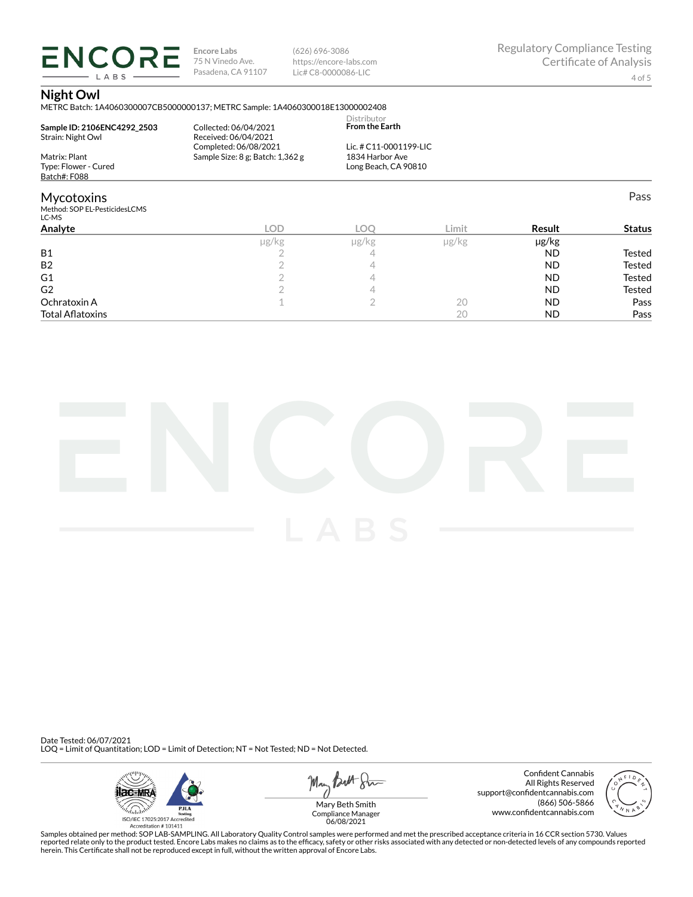**ENCORE Encore Labs** LABS

75 N Vinedo Ave. Pasadena, CA 91107 (626) 696-3086 https://encore-labs.com Lic# C8-0000086-LIC

Regulatory Compliance Testing Certificate of Analysis

## **Night Owl**

METRC Batch: 1A4060300007CB5000000137; METRC Sample: 1A4060300018E13000002408

| Sample ID: 2106ENC4292 2503<br>Strain: Night Owl            | Collected: 06/04/2021<br>Received: 06/04/2021<br>Completed: 06/08/2021 | Distributor<br><b>From the Earth</b><br>Lic. # C11-0001199-LIC |          |
|-------------------------------------------------------------|------------------------------------------------------------------------|----------------------------------------------------------------|----------|
| Matrix: Plant<br>Type: Flower - Cured<br>Batch#: F088       | Sample Size: 8 g; Batch: 1,362 g                                       | 1834 Harbor Ave<br>Long Beach, CA 90810                        |          |
| <b>Mycotoxins</b><br>Method: SOP EL-PesticidesLCMS<br>LC-MS |                                                                        |                                                                |          |
|                                                             | $\sim$                                                                 | $\sim$ $\sim$                                                  | $\cdots$ |

| Analyte                 | LOD.  | LOC        | Limit      | Result    | <b>Status</b> |
|-------------------------|-------|------------|------------|-----------|---------------|
|                         | µg/kg | $\mu$ g/kg | $\mu$ g/kg | µg/kg     |               |
| <b>B1</b>               |       |            |            | ND        | Tested        |
| B <sub>2</sub>          |       |            |            | ND        | <b>Tested</b> |
| G <sub>1</sub>          |       |            |            | ND        | <b>Tested</b> |
| G <sub>2</sub>          |       |            |            | ND.       | <b>Tested</b> |
| Ochratoxin A            |       |            | 20         | <b>ND</b> | Pass          |
| <b>Total Aflatoxins</b> |       |            | 20         | <b>ND</b> | Pass          |



Date Tested: 06/07/2021 LOQ = Limit of Quantitation; LOD = Limit of Detection; NT = Not Tested; ND = Not Detected.



May *Butt* 8mm

Confident Cannabis All Rights Reserved support@confidentcannabis.com (866) 506-5866 www.confidentcannabis.com



Compliance Manager 06/08/2021

Samples obtained per method: SOP LAB-SAMPLING. All Laboratory Quality Control samples were performed and met the prescribed acceptance criteria in 16 CCR section 5730. Values reported relate only to the product tested. Encore Labs makes no claims as to the efficacy, safety or other risks associated with any detected or non-detected levels of any compounds reported<br>herein. This Certificate shall

4 of 5

Pass